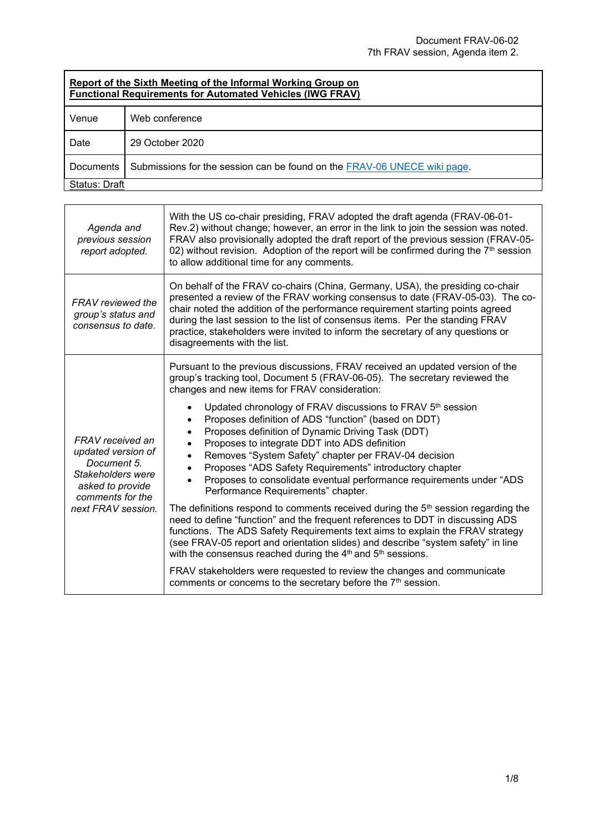## **Report of the Sixth Meeting of the Informal Working Group on Functional Requirements for Automated Vehicles (IWG FRAV)**

| andual regulation and recommended for the chipsen and the control of the control of the control of the control o |                                                                          |
|------------------------------------------------------------------------------------------------------------------|--------------------------------------------------------------------------|
| Venue                                                                                                            | Web conference                                                           |
| Date                                                                                                             | 29 October 2020                                                          |
| Documents                                                                                                        | Submissions for the session can be found on the FRAV-06 UNECE wiki page. |
| Status: Draft                                                                                                    |                                                                          |

| Agenda and<br>previous session<br>report adopted.                                                                                        | With the US co-chair presiding, FRAV adopted the draft agenda (FRAV-06-01-<br>Rev.2) without change; however, an error in the link to join the session was noted.<br>FRAV also provisionally adopted the draft report of the previous session (FRAV-05-<br>02) without revision. Adoption of the report will be confirmed during the $7th$ session<br>to allow additional time for any comments.                                                                                                                                                                                                                                                                                                                                                                                                                                                                                                                                                                                                                                                                                                                                                                                                                                                                      |
|------------------------------------------------------------------------------------------------------------------------------------------|-----------------------------------------------------------------------------------------------------------------------------------------------------------------------------------------------------------------------------------------------------------------------------------------------------------------------------------------------------------------------------------------------------------------------------------------------------------------------------------------------------------------------------------------------------------------------------------------------------------------------------------------------------------------------------------------------------------------------------------------------------------------------------------------------------------------------------------------------------------------------------------------------------------------------------------------------------------------------------------------------------------------------------------------------------------------------------------------------------------------------------------------------------------------------------------------------------------------------------------------------------------------------|
| FRAV reviewed the<br>group's status and<br>consensus to date.                                                                            | On behalf of the FRAV co-chairs (China, Germany, USA), the presiding co-chair<br>presented a review of the FRAV working consensus to date (FRAV-05-03). The co-<br>chair noted the addition of the performance requirement starting points agreed<br>during the last session to the list of consensus items. Per the standing FRAV<br>practice, stakeholders were invited to inform the secretary of any questions or<br>disagreements with the list.                                                                                                                                                                                                                                                                                                                                                                                                                                                                                                                                                                                                                                                                                                                                                                                                                 |
| FRAV received an<br>updated version of<br>Document 5.<br>Stakeholders were<br>asked to provide<br>comments for the<br>next FRAV session. | Pursuant to the previous discussions, FRAV received an updated version of the<br>group's tracking tool, Document 5 (FRAV-06-05). The secretary reviewed the<br>changes and new items for FRAV consideration:<br>Updated chronology of FRAV discussions to FRAV 5th session<br>Proposes definition of ADS "function" (based on DDT)<br>Proposes definition of Dynamic Driving Task (DDT)<br>Proposes to integrate DDT into ADS definition<br>Removes "System Safety" chapter per FRAV-04 decision<br>Proposes "ADS Safety Requirements" introductory chapter<br>Proposes to consolidate eventual performance requirements under "ADS<br>Performance Requirements" chapter.<br>The definitions respond to comments received during the $5th$ session regarding the<br>need to define "function" and the frequent references to DDT in discussing ADS<br>functions. The ADS Safety Requirements text aims to explain the FRAV strategy<br>(see FRAV-05 report and orientation slides) and describe "system safety" in line<br>with the consensus reached during the 4 <sup>th</sup> and 5 <sup>th</sup> sessions.<br>FRAV stakeholders were requested to review the changes and communicate<br>comments or concerns to the secretary before the 7 <sup>th</sup> session. |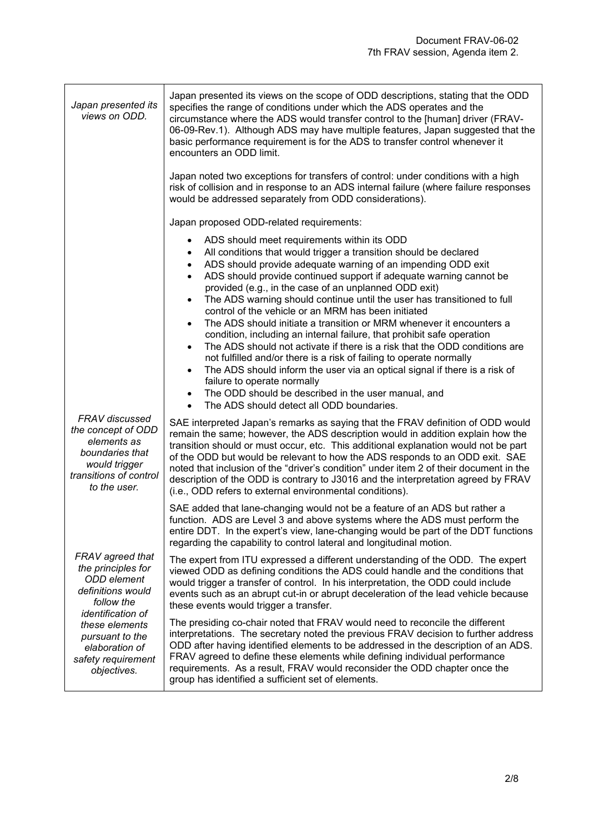| Japan presented its<br>views on ODD.                                                                                              | Japan presented its views on the scope of ODD descriptions, stating that the ODD<br>specifies the range of conditions under which the ADS operates and the<br>circumstance where the ADS would transfer control to the [human] driver (FRAV-<br>06-09-Rev.1). Although ADS may have multiple features, Japan suggested that the<br>basic performance requirement is for the ADS to transfer control whenever it<br>encounters an ODD limit.                                                                                                                                                                                                                                                                                                                                                                                                                                                                                                                                                                                                                                                                 |
|-----------------------------------------------------------------------------------------------------------------------------------|-------------------------------------------------------------------------------------------------------------------------------------------------------------------------------------------------------------------------------------------------------------------------------------------------------------------------------------------------------------------------------------------------------------------------------------------------------------------------------------------------------------------------------------------------------------------------------------------------------------------------------------------------------------------------------------------------------------------------------------------------------------------------------------------------------------------------------------------------------------------------------------------------------------------------------------------------------------------------------------------------------------------------------------------------------------------------------------------------------------|
|                                                                                                                                   | Japan noted two exceptions for transfers of control: under conditions with a high<br>risk of collision and in response to an ADS internal failure (where failure responses<br>would be addressed separately from ODD considerations).                                                                                                                                                                                                                                                                                                                                                                                                                                                                                                                                                                                                                                                                                                                                                                                                                                                                       |
|                                                                                                                                   | Japan proposed ODD-related requirements:                                                                                                                                                                                                                                                                                                                                                                                                                                                                                                                                                                                                                                                                                                                                                                                                                                                                                                                                                                                                                                                                    |
|                                                                                                                                   | ADS should meet requirements within its ODD<br>$\bullet$<br>All conditions that would trigger a transition should be declared<br>$\bullet$<br>ADS should provide adequate warning of an impending ODD exit<br>$\bullet$<br>ADS should provide continued support if adequate warning cannot be<br>$\bullet$<br>provided (e.g., in the case of an unplanned ODD exit)<br>The ADS warning should continue until the user has transitioned to full<br>$\bullet$<br>control of the vehicle or an MRM has been initiated<br>The ADS should initiate a transition or MRM whenever it encounters a<br>$\bullet$<br>condition, including an internal failure, that prohibit safe operation<br>The ADS should not activate if there is a risk that the ODD conditions are<br>$\bullet$<br>not fulfilled and/or there is a risk of failing to operate normally<br>The ADS should inform the user via an optical signal if there is a risk of<br>$\bullet$<br>failure to operate normally<br>The ODD should be described in the user manual, and<br>$\bullet$<br>The ADS should detect all ODD boundaries.<br>$\bullet$ |
| FRAV discussed<br>the concept of ODD<br>elements as<br>boundaries that<br>would trigger<br>transitions of control<br>to the user. | SAE interpreted Japan's remarks as saying that the FRAV definition of ODD would<br>remain the same; however, the ADS description would in addition explain how the<br>transition should or must occur, etc. This additional explanation would not be part<br>of the ODD but would be relevant to how the ADS responds to an ODD exit. SAE<br>noted that inclusion of the "driver's condition" under item 2 of their document in the<br>description of the ODD is contrary to J3016 and the interpretation agreed by FRAV<br>(i.e., ODD refers to external environmental conditions).                                                                                                                                                                                                                                                                                                                                                                                                                                                                                                                        |
|                                                                                                                                   | SAE added that lane-changing would not be a feature of an ADS but rather a<br>function. ADS are Level 3 and above systems where the ADS must perform the<br>entire DDT. In the expert's view, lane-changing would be part of the DDT functions<br>regarding the capability to control lateral and longitudinal motion.                                                                                                                                                                                                                                                                                                                                                                                                                                                                                                                                                                                                                                                                                                                                                                                      |
| FRAV agreed that<br>the principles for<br>ODD element<br>definitions would<br>follow the<br><i>identification of</i>              | The expert from ITU expressed a different understanding of the ODD. The expert<br>viewed ODD as defining conditions the ADS could handle and the conditions that<br>would trigger a transfer of control. In his interpretation, the ODD could include<br>events such as an abrupt cut-in or abrupt deceleration of the lead vehicle because<br>these events would trigger a transfer.                                                                                                                                                                                                                                                                                                                                                                                                                                                                                                                                                                                                                                                                                                                       |
| these elements<br>pursuant to the<br>elaboration of<br>safety requirement<br>objectives.                                          | The presiding co-chair noted that FRAV would need to reconcile the different<br>interpretations. The secretary noted the previous FRAV decision to further address<br>ODD after having identified elements to be addressed in the description of an ADS.<br>FRAV agreed to define these elements while defining individual performance<br>requirements. As a result, FRAV would reconsider the ODD chapter once the<br>group has identified a sufficient set of elements.                                                                                                                                                                                                                                                                                                                                                                                                                                                                                                                                                                                                                                   |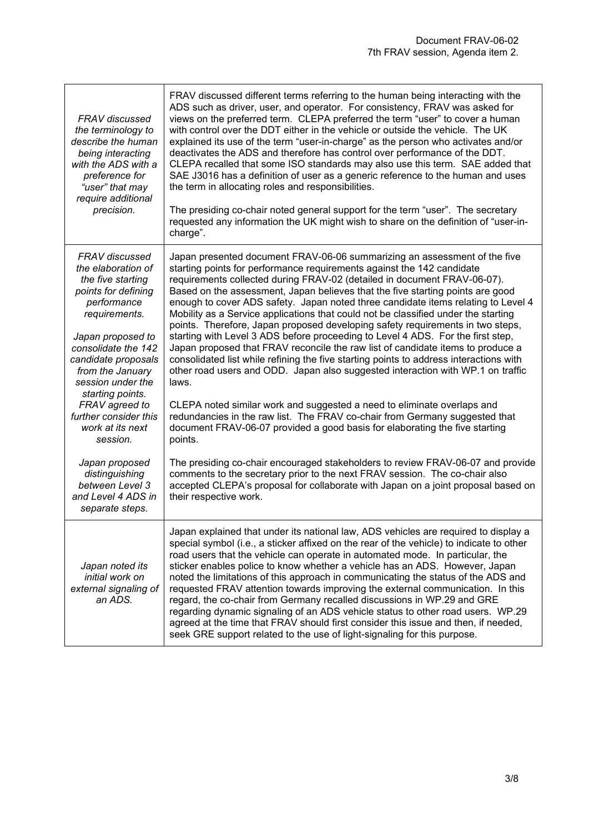| <b>FRAV</b> discussed<br>the terminology to<br>describe the human<br>being interacting<br>with the ADS with a<br>preference for<br>"user" that may<br>require additional<br>precision.                                                                                    | FRAV discussed different terms referring to the human being interacting with the<br>ADS such as driver, user, and operator. For consistency, FRAV was asked for<br>views on the preferred term. CLEPA preferred the term "user" to cover a human<br>with control over the DDT either in the vehicle or outside the vehicle. The UK<br>explained its use of the term "user-in-charge" as the person who activates and/or<br>deactivates the ADS and therefore has control over performance of the DDT.<br>CLEPA recalled that some ISO standards may also use this term. SAE added that<br>SAE J3016 has a definition of user as a generic reference to the human and uses<br>the term in allocating roles and responsibilities.<br>The presiding co-chair noted general support for the term "user". The secretary<br>requested any information the UK might wish to share on the definition of "user-in-<br>charge".                                                                                                 |
|---------------------------------------------------------------------------------------------------------------------------------------------------------------------------------------------------------------------------------------------------------------------------|-----------------------------------------------------------------------------------------------------------------------------------------------------------------------------------------------------------------------------------------------------------------------------------------------------------------------------------------------------------------------------------------------------------------------------------------------------------------------------------------------------------------------------------------------------------------------------------------------------------------------------------------------------------------------------------------------------------------------------------------------------------------------------------------------------------------------------------------------------------------------------------------------------------------------------------------------------------------------------------------------------------------------|
| <b>FRAV</b> discussed<br>the elaboration of<br>the five starting<br>points for defining<br>performance<br>requirements.<br>Japan proposed to<br>consolidate the 142<br>candidate proposals<br>from the January<br>session under the<br>starting points.<br>FRAV agreed to | Japan presented document FRAV-06-06 summarizing an assessment of the five<br>starting points for performance requirements against the 142 candidate<br>requirements collected during FRAV-02 (detailed in document FRAV-06-07).<br>Based on the assessment, Japan believes that the five starting points are good<br>enough to cover ADS safety. Japan noted three candidate items relating to Level 4<br>Mobility as a Service applications that could not be classified under the starting<br>points. Therefore, Japan proposed developing safety requirements in two steps,<br>starting with Level 3 ADS before proceeding to Level 4 ADS. For the first step,<br>Japan proposed that FRAV reconcile the raw list of candidate items to produce a<br>consolidated list while refining the five starting points to address interactions with<br>other road users and ODD. Japan also suggested interaction with WP.1 on traffic<br>laws.<br>CLEPA noted similar work and suggested a need to eliminate overlaps and |
| further consider this<br>work at its next<br>session.                                                                                                                                                                                                                     | redundancies in the raw list. The FRAV co-chair from Germany suggested that<br>document FRAV-06-07 provided a good basis for elaborating the five starting<br>points.                                                                                                                                                                                                                                                                                                                                                                                                                                                                                                                                                                                                                                                                                                                                                                                                                                                 |
| Japan proposed<br>distinguishing<br>between Level 3<br>and Level 4 ADS in<br>separate steps.                                                                                                                                                                              | The presiding co-chair encouraged stakeholders to review FRAV-06-07 and provide<br>comments to the secretary prior to the next FRAV session. The co-chair also<br>accepted CLEPA's proposal for collaborate with Japan on a joint proposal based on<br>their respective work.                                                                                                                                                                                                                                                                                                                                                                                                                                                                                                                                                                                                                                                                                                                                         |
| Japan noted its<br>initial work on<br>external signaling of<br>an ADS.                                                                                                                                                                                                    | Japan explained that under its national law, ADS vehicles are required to display a<br>special symbol (i.e., a sticker affixed on the rear of the vehicle) to indicate to other<br>road users that the vehicle can operate in automated mode. In particular, the<br>sticker enables police to know whether a vehicle has an ADS. However, Japan<br>noted the limitations of this approach in communicating the status of the ADS and<br>requested FRAV attention towards improving the external communication. In this<br>regard, the co-chair from Germany recalled discussions in WP.29 and GRE<br>regarding dynamic signaling of an ADS vehicle status to other road users. WP.29<br>agreed at the time that FRAV should first consider this issue and then, if needed,<br>seek GRE support related to the use of light-signaling for this purpose.                                                                                                                                                                |

 $\overline{1}$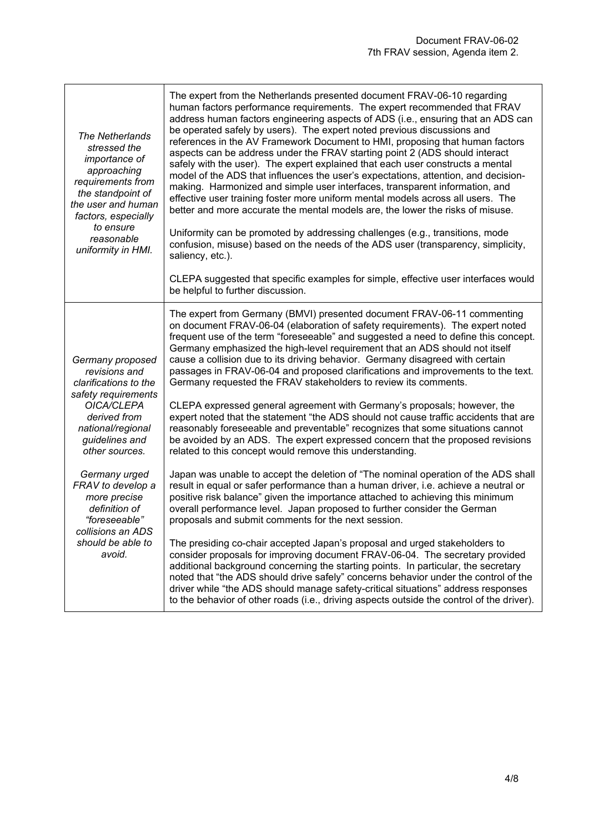| <b>The Netherlands</b><br>stressed the<br>importance of<br>approaching<br>requirements from<br>the standpoint of<br>the user and human<br>factors, especially<br>to ensure<br>reasonable<br>uniformity in HMI. | The expert from the Netherlands presented document FRAV-06-10 regarding<br>human factors performance requirements. The expert recommended that FRAV<br>address human factors engineering aspects of ADS (i.e., ensuring that an ADS can<br>be operated safely by users). The expert noted previous discussions and<br>references in the AV Framework Document to HMI, proposing that human factors<br>aspects can be address under the FRAV starting point 2 (ADS should interact<br>safely with the user). The expert explained that each user constructs a mental<br>model of the ADS that influences the user's expectations, attention, and decision-<br>making. Harmonized and simple user interfaces, transparent information, and<br>effective user training foster more uniform mental models across all users. The<br>better and more accurate the mental models are, the lower the risks of misuse.<br>Uniformity can be promoted by addressing challenges (e.g., transitions, mode<br>confusion, misuse) based on the needs of the ADS user (transparency, simplicity,<br>saliency, etc.).<br>CLEPA suggested that specific examples for simple, effective user interfaces would<br>be helpful to further discussion. |
|----------------------------------------------------------------------------------------------------------------------------------------------------------------------------------------------------------------|----------------------------------------------------------------------------------------------------------------------------------------------------------------------------------------------------------------------------------------------------------------------------------------------------------------------------------------------------------------------------------------------------------------------------------------------------------------------------------------------------------------------------------------------------------------------------------------------------------------------------------------------------------------------------------------------------------------------------------------------------------------------------------------------------------------------------------------------------------------------------------------------------------------------------------------------------------------------------------------------------------------------------------------------------------------------------------------------------------------------------------------------------------------------------------------------------------------------------------|
| Germany proposed<br>revisions and<br>clarifications to the<br>safety requirements<br>OICA/CLEPA                                                                                                                | The expert from Germany (BMVI) presented document FRAV-06-11 commenting<br>on document FRAV-06-04 (elaboration of safety requirements). The expert noted<br>frequent use of the term "foreseeable" and suggested a need to define this concept.<br>Germany emphasized the high-level requirement that an ADS should not itself<br>cause a collision due to its driving behavior. Germany disagreed with certain<br>passages in FRAV-06-04 and proposed clarifications and improvements to the text.<br>Germany requested the FRAV stakeholders to review its comments.<br>CLEPA expressed general agreement with Germany's proposals; however, the                                                                                                                                                                                                                                                                                                                                                                                                                                                                                                                                                                               |
| derived from<br>national/regional<br>guidelines and<br>other sources.                                                                                                                                          | expert noted that the statement "the ADS should not cause traffic accidents that are<br>reasonably foreseeable and preventable" recognizes that some situations cannot<br>be avoided by an ADS. The expert expressed concern that the proposed revisions<br>related to this concept would remove this understanding.                                                                                                                                                                                                                                                                                                                                                                                                                                                                                                                                                                                                                                                                                                                                                                                                                                                                                                             |
| Germany urged<br>FRAV to develop a<br>more precise<br>definition of<br>"foreseeable"<br>collisions an ADS                                                                                                      | Japan was unable to accept the deletion of "The nominal operation of the ADS shall<br>result in equal or safer performance than a human driver, i.e. achieve a neutral or<br>positive risk balance" given the importance attached to achieving this minimum<br>overall performance level. Japan proposed to further consider the German<br>proposals and submit comments for the next session.                                                                                                                                                                                                                                                                                                                                                                                                                                                                                                                                                                                                                                                                                                                                                                                                                                   |
| should be able to<br>avoid.                                                                                                                                                                                    | The presiding co-chair accepted Japan's proposal and urged stakeholders to<br>consider proposals for improving document FRAV-06-04. The secretary provided<br>additional background concerning the starting points. In particular, the secretary<br>noted that "the ADS should drive safely" concerns behavior under the control of the<br>driver while "the ADS should manage safety-critical situations" address responses<br>to the behavior of other roads (i.e., driving aspects outside the control of the driver).                                                                                                                                                                                                                                                                                                                                                                                                                                                                                                                                                                                                                                                                                                        |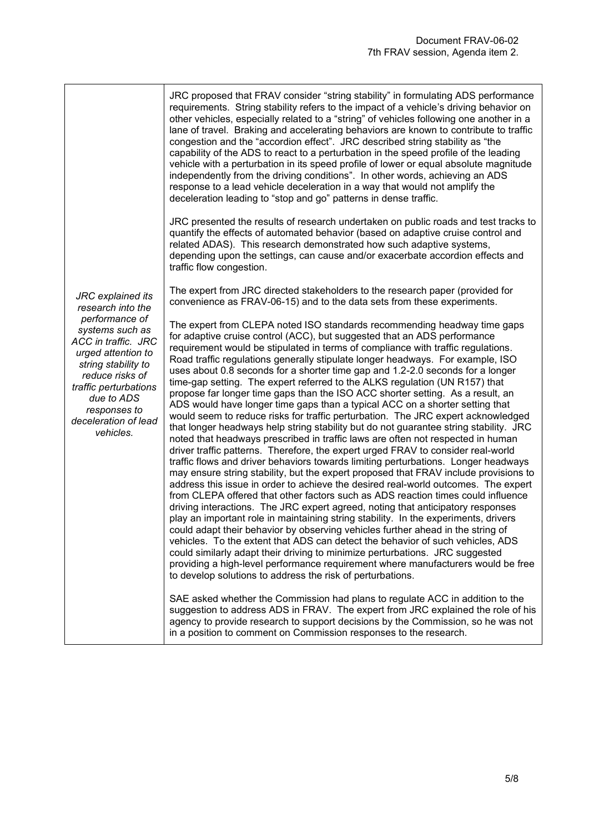|                                                                                                                                                                                                                      | JRC proposed that FRAV consider "string stability" in formulating ADS performance<br>requirements. String stability refers to the impact of a vehicle's driving behavior on<br>other vehicles, especially related to a "string" of vehicles following one another in a<br>lane of travel. Braking and accelerating behaviors are known to contribute to traffic<br>congestion and the "accordion effect". JRC described string stability as "the<br>capability of the ADS to react to a perturbation in the speed profile of the leading<br>vehicle with a perturbation in its speed profile of lower or equal absolute magnitude<br>independently from the driving conditions". In other words, achieving an ADS<br>response to a lead vehicle deceleration in a way that would not amplify the<br>deceleration leading to "stop and go" patterns in dense traffic.                                                                                                                                                                                                                                                                                                                                                                                                                                                                                                                                                                                                                                                                                                                                                                                                                                                                                                                                                                                                                                                                                       |
|----------------------------------------------------------------------------------------------------------------------------------------------------------------------------------------------------------------------|------------------------------------------------------------------------------------------------------------------------------------------------------------------------------------------------------------------------------------------------------------------------------------------------------------------------------------------------------------------------------------------------------------------------------------------------------------------------------------------------------------------------------------------------------------------------------------------------------------------------------------------------------------------------------------------------------------------------------------------------------------------------------------------------------------------------------------------------------------------------------------------------------------------------------------------------------------------------------------------------------------------------------------------------------------------------------------------------------------------------------------------------------------------------------------------------------------------------------------------------------------------------------------------------------------------------------------------------------------------------------------------------------------------------------------------------------------------------------------------------------------------------------------------------------------------------------------------------------------------------------------------------------------------------------------------------------------------------------------------------------------------------------------------------------------------------------------------------------------------------------------------------------------------------------------------------------------|
| JRC explained its<br>research into the                                                                                                                                                                               | JRC presented the results of research undertaken on public roads and test tracks to<br>quantify the effects of automated behavior (based on adaptive cruise control and<br>related ADAS). This research demonstrated how such adaptive systems,<br>depending upon the settings, can cause and/or exacerbate accordion effects and<br>traffic flow congestion.                                                                                                                                                                                                                                                                                                                                                                                                                                                                                                                                                                                                                                                                                                                                                                                                                                                                                                                                                                                                                                                                                                                                                                                                                                                                                                                                                                                                                                                                                                                                                                                              |
|                                                                                                                                                                                                                      | The expert from JRC directed stakeholders to the research paper (provided for<br>convenience as FRAV-06-15) and to the data sets from these experiments.                                                                                                                                                                                                                                                                                                                                                                                                                                                                                                                                                                                                                                                                                                                                                                                                                                                                                                                                                                                                                                                                                                                                                                                                                                                                                                                                                                                                                                                                                                                                                                                                                                                                                                                                                                                                   |
| performance of<br>systems such as<br>ACC in traffic. JRC<br>urged attention to<br>string stability to<br>reduce risks of<br>traffic perturbations<br>due to ADS<br>responses to<br>deceleration of lead<br>vehicles. | The expert from CLEPA noted ISO standards recommending headway time gaps<br>for adaptive cruise control (ACC), but suggested that an ADS performance<br>requirement would be stipulated in terms of compliance with traffic regulations.<br>Road traffic regulations generally stipulate longer headways. For example, ISO<br>uses about 0.8 seconds for a shorter time gap and 1.2-2.0 seconds for a longer<br>time-gap setting. The expert referred to the ALKS regulation (UN R157) that<br>propose far longer time gaps than the ISO ACC shorter setting. As a result, an<br>ADS would have longer time gaps than a typical ACC on a shorter setting that<br>would seem to reduce risks for traffic perturbation. The JRC expert acknowledged<br>that longer headways help string stability but do not guarantee string stability. JRC<br>noted that headways prescribed in traffic laws are often not respected in human<br>driver traffic patterns. Therefore, the expert urged FRAV to consider real-world<br>traffic flows and driver behaviors towards limiting perturbations. Longer headways<br>may ensure string stability, but the expert proposed that FRAV include provisions to<br>address this issue in order to achieve the desired real-world outcomes. The expert<br>from CLEPA offered that other factors such as ADS reaction times could influence<br>driving interactions. The JRC expert agreed, noting that anticipatory responses<br>play an important role in maintaining string stability. In the experiments, drivers<br>could adapt their behavior by observing vehicles further ahead in the string of<br>vehicles. To the extent that ADS can detect the behavior of such vehicles, ADS<br>could similarly adapt their driving to minimize perturbations. JRC suggested<br>providing a high-level performance requirement where manufacturers would be free<br>to develop solutions to address the risk of perturbations. |
|                                                                                                                                                                                                                      | SAE asked whether the Commission had plans to regulate ACC in addition to the<br>suggestion to address ADS in FRAV. The expert from JRC explained the role of his<br>agency to provide research to support decisions by the Commission, so he was not<br>in a position to comment on Commission responses to the research.                                                                                                                                                                                                                                                                                                                                                                                                                                                                                                                                                                                                                                                                                                                                                                                                                                                                                                                                                                                                                                                                                                                                                                                                                                                                                                                                                                                                                                                                                                                                                                                                                                 |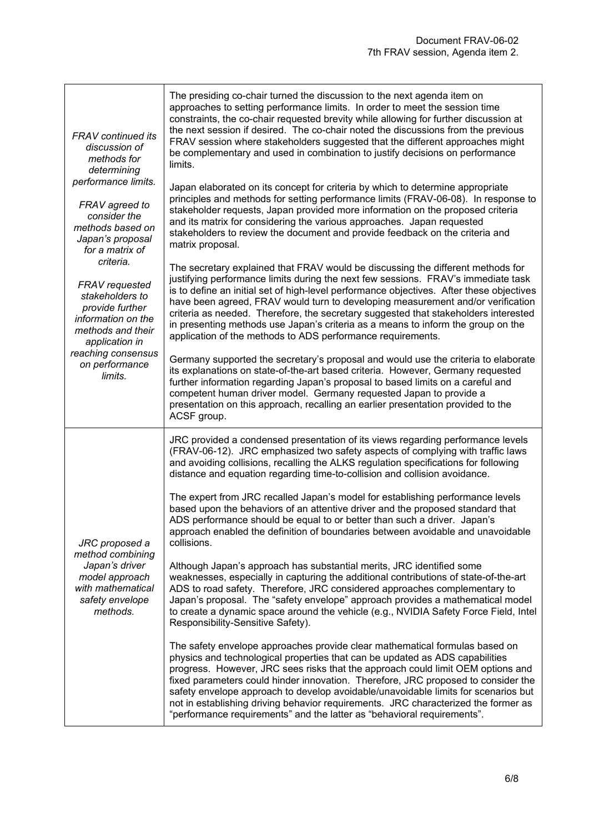| <b>FRAV</b> continued its<br>discussion of<br>methods for<br>determining<br>performance limits.                                | The presiding co-chair turned the discussion to the next agenda item on<br>approaches to setting performance limits. In order to meet the session time<br>constraints, the co-chair requested brevity while allowing for further discussion at<br>the next session if desired. The co-chair noted the discussions from the previous<br>FRAV session where stakeholders suggested that the different approaches might<br>be complementary and used in combination to justify decisions on performance<br>limits.<br>Japan elaborated on its concept for criteria by which to determine appropriate |
|--------------------------------------------------------------------------------------------------------------------------------|---------------------------------------------------------------------------------------------------------------------------------------------------------------------------------------------------------------------------------------------------------------------------------------------------------------------------------------------------------------------------------------------------------------------------------------------------------------------------------------------------------------------------------------------------------------------------------------------------|
| FRAV agreed to<br>consider the<br>methods based on<br>Japan's proposal<br>for a matrix of                                      | principles and methods for setting performance limits (FRAV-06-08). In response to<br>stakeholder requests, Japan provided more information on the proposed criteria<br>and its matrix for considering the various approaches. Japan requested<br>stakeholders to review the document and provide feedback on the criteria and<br>matrix proposal.                                                                                                                                                                                                                                                |
| criteria.<br>FRAV requested<br>stakeholders to<br>provide further<br>information on the<br>methods and their<br>application in | The secretary explained that FRAV would be discussing the different methods for<br>justifying performance limits during the next few sessions. FRAV's immediate task<br>is to define an initial set of high-level performance objectives. After these objectives<br>have been agreed, FRAV would turn to developing measurement and/or verification<br>criteria as needed. Therefore, the secretary suggested that stakeholders interested<br>in presenting methods use Japan's criteria as a means to inform the group on the<br>application of the methods to ADS performance requirements.     |
| reaching consensus<br>on performance<br>limits.                                                                                | Germany supported the secretary's proposal and would use the criteria to elaborate<br>its explanations on state-of-the-art based criteria. However, Germany requested<br>further information regarding Japan's proposal to based limits on a careful and<br>competent human driver model. Germany requested Japan to provide a<br>presentation on this approach, recalling an earlier presentation provided to the<br>ACSF group.                                                                                                                                                                 |
|                                                                                                                                | JRC provided a condensed presentation of its views regarding performance levels<br>(FRAV-06-12). JRC emphasized two safety aspects of complying with traffic laws<br>and avoiding collisions, recalling the ALKS regulation specifications for following<br>distance and equation regarding time-to-collision and collision avoidance.                                                                                                                                                                                                                                                            |
| JRC proposed a<br>method combining                                                                                             | The expert from JRC recalled Japan's model for establishing performance levels<br>based upon the behaviors of an attentive driver and the proposed standard that<br>ADS performance should be equal to or better than such a driver. Japan's<br>approach enabled the definition of boundaries between avoidable and unavoidable<br>collisions.                                                                                                                                                                                                                                                    |
| Japan's driver<br>model approach<br>with mathematical<br>safety envelope<br>methods.                                           | Although Japan's approach has substantial merits, JRC identified some<br>weaknesses, especially in capturing the additional contributions of state-of-the-art<br>ADS to road safety. Therefore, JRC considered approaches complementary to<br>Japan's proposal. The "safety envelope" approach provides a mathematical model<br>to create a dynamic space around the vehicle (e.g., NVIDIA Safety Force Field, Intel<br>Responsibility-Sensitive Safety).                                                                                                                                         |
|                                                                                                                                | The safety envelope approaches provide clear mathematical formulas based on<br>physics and technological properties that can be updated as ADS capabilities<br>progress. However, JRC sees risks that the approach could limit OEM options and<br>fixed parameters could hinder innovation. Therefore, JRC proposed to consider the<br>safety envelope approach to develop avoidable/unavoidable limits for scenarios but<br>not in establishing driving behavior requirements. JRC characterized the former as<br>"performance requirements" and the latter as "behavioral requirements".        |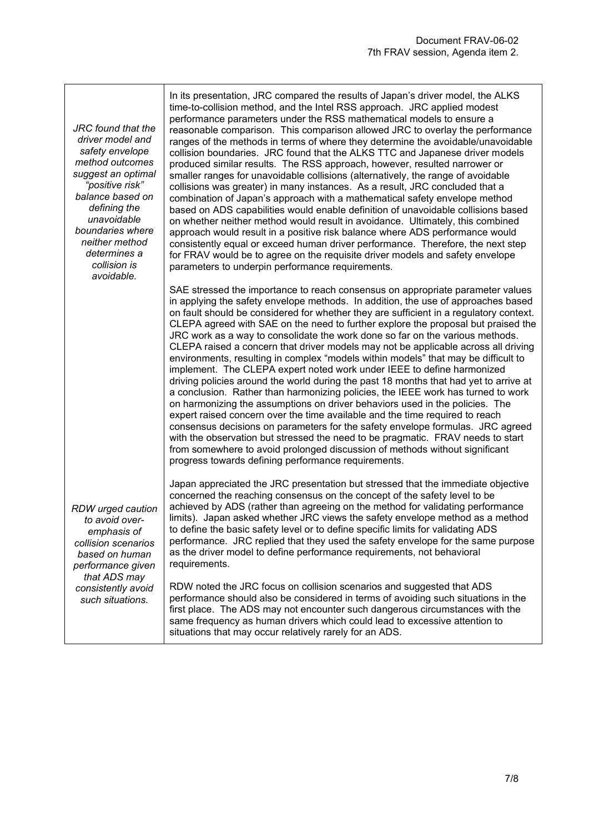*JRC found that the driver model and safety envelope method outcomes suggest an optimal "positive risk" balance based on defining the unavoidable boundaries where neither method determines a collision is avoidable.*

In its presentation, JRC compared the results of Japan's driver model, the ALKS time-to-collision method, and the Intel RSS approach. JRC applied modest performance parameters under the RSS mathematical models to ensure a reasonable comparison. This comparison allowed JRC to overlay the performance ranges of the methods in terms of where they determine the avoidable/unavoidable collision boundaries. JRC found that the ALKS TTC and Japanese driver models produced similar results. The RSS approach, however, resulted narrower or smaller ranges for unavoidable collisions (alternatively, the range of avoidable collisions was greater) in many instances. As a result, JRC concluded that a combination of Japan's approach with a mathematical safety envelope method based on ADS capabilities would enable definition of unavoidable collisions based on whether neither method would result in avoidance. Ultimately, this combined approach would result in a positive risk balance where ADS performance would consistently equal or exceed human driver performance. Therefore, the next step for FRAV would be to agree on the requisite driver models and safety envelope parameters to underpin performance requirements.

SAE stressed the importance to reach consensus on appropriate parameter values in applying the safety envelope methods. In addition, the use of approaches based on fault should be considered for whether they are sufficient in a regulatory context. CLEPA agreed with SAE on the need to further explore the proposal but praised the JRC work as a way to consolidate the work done so far on the various methods. CLEPA raised a concern that driver models may not be applicable across all driving environments, resulting in complex "models within models" that may be difficult to implement. The CLEPA expert noted work under IEEE to define harmonized driving policies around the world during the past 18 months that had yet to arrive at a conclusion. Rather than harmonizing policies, the IEEE work has turned to work on harmonizing the assumptions on driver behaviors used in the policies. The expert raised concern over the time available and the time required to reach consensus decisions on parameters for the safety envelope formulas. JRC agreed with the observation but stressed the need to be pragmatic. FRAV needs to start from somewhere to avoid prolonged discussion of methods without significant progress towards defining performance requirements.

*RDW urged caution to avoid overemphasis of collision scenarios based on human performance given that ADS may consistently avoid such situations.*

Japan appreciated the JRC presentation but stressed that the immediate objective concerned the reaching consensus on the concept of the safety level to be achieved by ADS (rather than agreeing on the method for validating performance limits). Japan asked whether JRC views the safety envelope method as a method to define the basic safety level or to define specific limits for validating ADS performance. JRC replied that they used the safety envelope for the same purpose as the driver model to define performance requirements, not behavioral requirements.

RDW noted the JRC focus on collision scenarios and suggested that ADS performance should also be considered in terms of avoiding such situations in the first place. The ADS may not encounter such dangerous circumstances with the same frequency as human drivers which could lead to excessive attention to situations that may occur relatively rarely for an ADS.